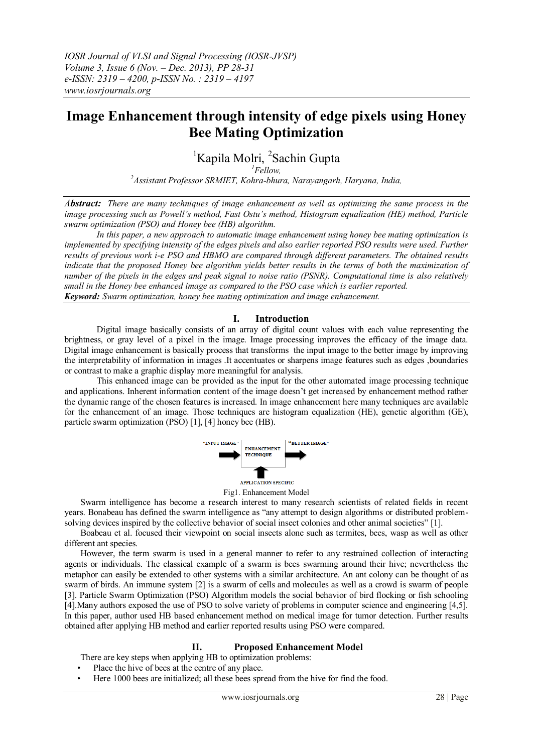# **Image Enhancement through intensity of edge pixels using Honey Bee Mating Optimization**

<sup>1</sup>Kapila Molri, <sup>2</sup>Sachin Gupta

*<sup>1</sup>Fellow,* 

*<sup>2</sup>Assistant Professor SRMIET, Kohra-bhura, Narayangarh, Haryana, India,*

*Abstract: There are many techniques of image enhancement as well as optimizing the same process in the image processing such as Powell's method, Fast Ostu's method, Histogram equalization (HE) method, Particle swarm optimization (PSO) and Honey bee (HB) algorithm.*

In this paper, a new approach to automatic image enhancement using honey bee mating optimization is *implemented by specifying intensity of the edges pixels and also earlier reported PSO results were used. Further results of previous work i-e PSO and HBMO are compared through different parameters. The obtained results indicate that the proposed Honey bee algorithm yields better results in the terms of both the maximization of number of the pixels in the edges and peak signal to noise ratio (PSNR). Computational time is also relatively small in the Honey bee enhanced image as compared to the PSO case which is earlier reported. Keyword: Swarm optimization, honey bee mating optimization and image enhancement.*

## **I. Introduction**

Digital image basically consists of an array of digital count values with each value representing the brightness, or gray level of a pixel in the image. Image processing improves the efficacy of the image data. Digital image enhancement is basically process that transforms the input image to the better image by improving the interpretability of information in images .It accentuates or sharpens image features such as edges ,boundaries or contrast to make a graphic display more meaningful for analysis.

This enhanced image can be provided as the input for the other automated image processing technique and applications. Inherent information content of the image doesn't get increased by enhancement method rather the dynamic range of the chosen features is increased. In image enhancement here many techniques are available for the enhancement of an image. Those techniques are histogram equalization (HE), genetic algorithm (GE), particle swarm optimization (PSO) [1], [4] honey bee (HB).





Swarm intelligence has become a research interest to many research scientists of related fields in recent years. Bonabeau has defined the swarm intelligence as "any attempt to design algorithms or distributed problemsolving devices inspired by the collective behavior of social insect colonies and other animal societies" [1].

Boabeau et al. focused their viewpoint on social insects alone such as termites, bees, wasp as well as other different ant species.

However, the term swarm is used in a general manner to refer to any restrained collection of interacting agents or individuals. The classical example of a swarm is bees swarming around their hive; nevertheless the metaphor can easily be extended to other systems with a similar architecture. An ant colony can be thought of as swarm of birds. An immune system [2] is a swarm of cells and molecules as well as a crowd is swarm of people [3]. Particle Swarm Optimization (PSO) Algorithm models the social behavior of bird flocking or fish schooling [4].Many authors exposed the use of PSO to solve variety of problems in computer science and engineering [4,5]. In this paper, author used HB based enhancement method on medical image for tumor detection. Further results obtained after applying HB method and earlier reported results using PSO were compared.

## **II. Proposed Enhancement Model**

There are key steps when applying HB to optimization problems:

Place the hive of bees at the centre of any place.

• Here 1000 bees are initialized; all these bees spread from the hive for find the food.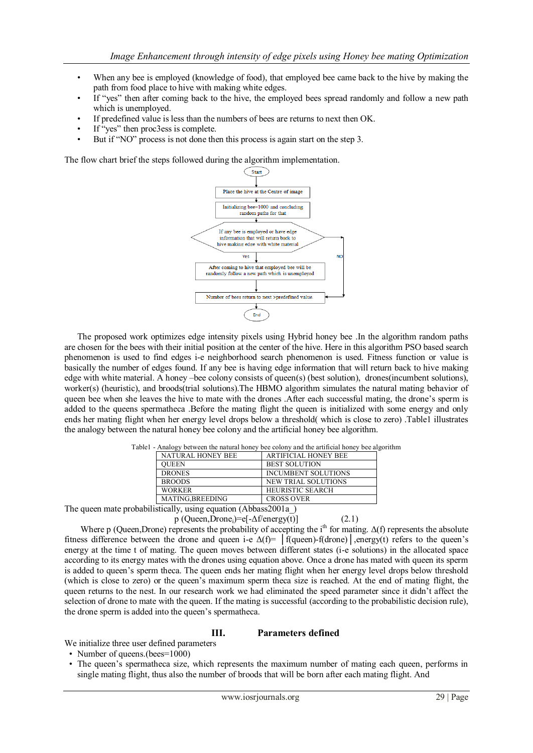- When any bee is employed (knowledge of food), that employed bee came back to the hive by making the path from food place to hive with making white edges.
- If "yes" then after coming back to the hive, the employed bees spread randomly and follow a new path which is unemployed.
- If predefined value is less than the numbers of bees are returns to next then OK.
- If "yes" then proc3ess is complete.
- But if "NO" process is not done then this process is again start on the step 3.

The flow chart brief the steps followed during the algorithm implementation.



The proposed work optimizes edge intensity pixels using Hybrid honey bee .In the algorithm random paths are chosen for the bees with their initial position at the center of the hive. Here in this algorithm PSO based search phenomenon is used to find edges i-e neighborhood search phenomenon is used. Fitness function or value is basically the number of edges found. If any bee is having edge information that will return back to hive making edge with white material. A honey –bee colony consists of queen(s) (best solution), drones(incumbent solutions), worker(s) (heuristic), and broods(trial solutions). The HBMO algorithm simulates the natural mating behavior of queen bee when she leaves the hive to mate with the drones .After each successful mating, the drone's sperm is added to the queens spermatheca .Before the mating flight the queen is initialized with some energy and only ends her mating flight when her energy level drops below a threshold( which is close to zero) .Table1 illustrates the analogy between the natural honey bee colony and the artificial honey bee algorithm.

| mand, occur and manufacturely over colony and the arthronic honey occur |                             |  |  |  |  |
|-------------------------------------------------------------------------|-----------------------------|--|--|--|--|
| NATURAL HONEY BEE                                                       | <b>ARTIFICIAL HONEY BEE</b> |  |  |  |  |
| <b>OUEEN</b>                                                            | <b>BEST SOLUTION</b>        |  |  |  |  |
| <b>DRONES</b>                                                           | <b>INCUMBENT SOLUTIONS</b>  |  |  |  |  |
| <b>BROODS</b>                                                           | <b>NEW TRIAL SOLUTIONS</b>  |  |  |  |  |
| <b>WORKER</b>                                                           | <b>HEURISTIC SEARCH</b>     |  |  |  |  |
| MATING, BREEDING                                                        | <b>CROSS OVER</b>           |  |  |  |  |
|                                                                         |                             |  |  |  |  |

Table1 - Analogy between the natural honey bee colony and the artificial honey bee algorithm

The queen mate probabilistically, using equation (Abbass2001a)

 $p$  (Queen,Drone<sub>i</sub>)=e[- $\Delta f$ /energy(t)] (2.1)

Where p (Queen,Drone) represents the probability of accepting the i<sup>th</sup> for mating.  $\Delta(f)$  represents the absolute fitness difference between the drone and queen i-e  $\Delta(f)$ = |f(queen)-f(drone)|,energy(t) refers to the queen's energy at the time t of mating. The queen moves between different states (i-e solutions) in the allocated space according to its energy mates with the drones using equation above. Once a drone has mated with queen its sperm is added to queen's sperm theca. The queen ends her mating flight when her energy level drops below threshold (which is close to zero) or the queen's maximum sperm theca size is reached. At the end of mating flight, the queen returns to the nest. In our research work we had eliminated the speed parameter since it didn't affect the selection of drone to mate with the queen. If the mating is successful (according to the probabilistic decision rule), the drone sperm is added into the queen's spermatheca.

## **III. Parameters defined**

We initialize three user defined parameters

- Number of queens.(bees=1000)
- The queen's spermatheca size, which represents the maximum number of mating each queen, performs in single mating flight, thus also the number of broods that will be born after each mating flight. And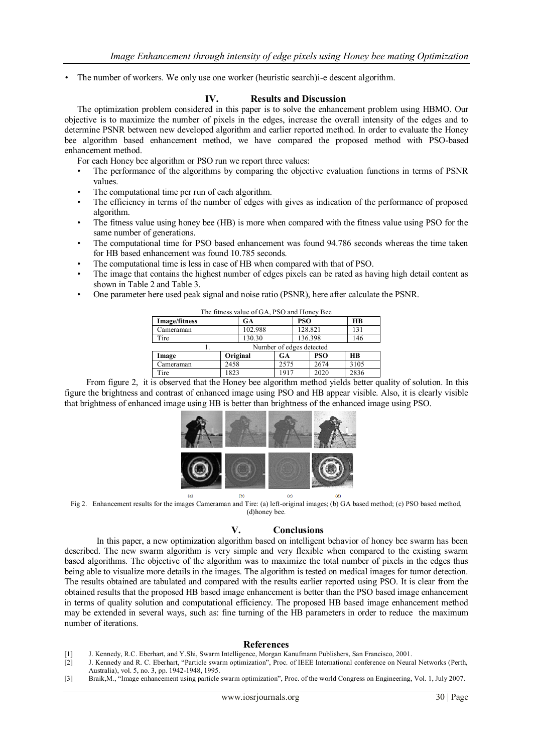• The number of workers. We only use one worker (heuristic search)i-e descent algorithm.

## **IV. Results and Discussion**

The optimization problem considered in this paper is to solve the enhancement problem using HBMO. Our objective is to maximize the number of pixels in the edges, increase the overall intensity of the edges and to determine PSNR between new developed algorithm and earlier reported method. In order to evaluate the Honey bee algorithm based enhancement method, we have compared the proposed method with PSO-based enhancement method.

- For each Honey bee algorithm or PSO run we report three values:
- The performance of the algorithms by comparing the objective evaluation functions in terms of PSNR values.
- The computational time per run of each algorithm.
- The efficiency in terms of the number of edges with gives as indication of the performance of proposed algorithm.
- The fitness value using honey bee (HB) is more when compared with the fitness value using PSO for the same number of generations.
- The computational time for PSO based enhancement was found 94.786 seconds whereas the time taken for HB based enhancement was found 10.785 seconds.
- The computational time is less in case of HB when compared with that of PSO.
- The image that contains the highest number of edges pixels can be rated as having high detail content as shown in Table 2 and Table 3.
- One parameter here used peak signal and noise ratio (PSNR), here after calculate the PSNR.

| The fitness value of GA, PSO and Honey Bee |          |  |           |         |            |           |  |  |
|--------------------------------------------|----------|--|-----------|---------|------------|-----------|--|--|
| Image/fitness                              |          |  | <b>GA</b> |         | <b>PSO</b> | <b>HB</b> |  |  |
| Cameraman                                  | 102.988  |  | 128.821   |         |            | 131       |  |  |
| Tire                                       | 130.30   |  |           | 136.398 |            | 146       |  |  |
| Number of edges detected                   |          |  |           |         |            |           |  |  |
| Image                                      | Original |  | GA        |         | <b>PSO</b> | HR        |  |  |
| Cameraman                                  | 2458     |  | 2575      |         | 2674       | 3105      |  |  |
| Tire                                       | 1823     |  | 1917      |         | 2020       | 2836      |  |  |

 From figure 2, it is observed that the Honey bee algorithm method yields better quality of solution. In this figure the brightness and contrast of enhanced image using PSO and HB appear visible. Also, it is clearly visible that brightness of enhanced image using HB is better than brightness of the enhanced image using PSO.



Fig 2. Enhancement results for the images Cameraman and Tire: (a) left-original images; (b) GA based method; (c) PSO based method, (d)honey bee.

## **V. Conclusions**

In this paper, a new optimization algorithm based on intelligent behavior of honey bee swarm has been described. The new swarm algorithm is very simple and very flexible when compared to the existing swarm based algorithms. The objective of the algorithm was to maximize the total number of pixels in the edges thus being able to visualize more details in the images. The algorithm is tested on medical images for tumor detection. The results obtained are tabulated and compared with the results earlier reported using PSO. It is clear from the obtained results that the proposed HB based image enhancement is better than the PSO based image enhancement in terms of quality solution and computational efficiency. The proposed HB based image enhancement method may be extended in several ways, such as: fine turning of the HB parameters in order to reduce the maximum number of iterations.

#### **References**

- [1] J. Kennedy, R.C. Eberhart, and Y.Shi, Swarm Intelligence, Morgan Kanufmann Publishers, San Francisco, 2001.
- [2] J. Kennedy and R. C. Eberhart, "Particle swarm optimization", Proc. of IEEE International conference on Neural Networks (Perth, Australia), vol. 5, no. 3, pp. 1942-1948, 1995.
- [3] Braik,M., "Image enhancement using particle swarm optimization", Proc. of the world Congress on Engineering, Vol. 1, July 2007.